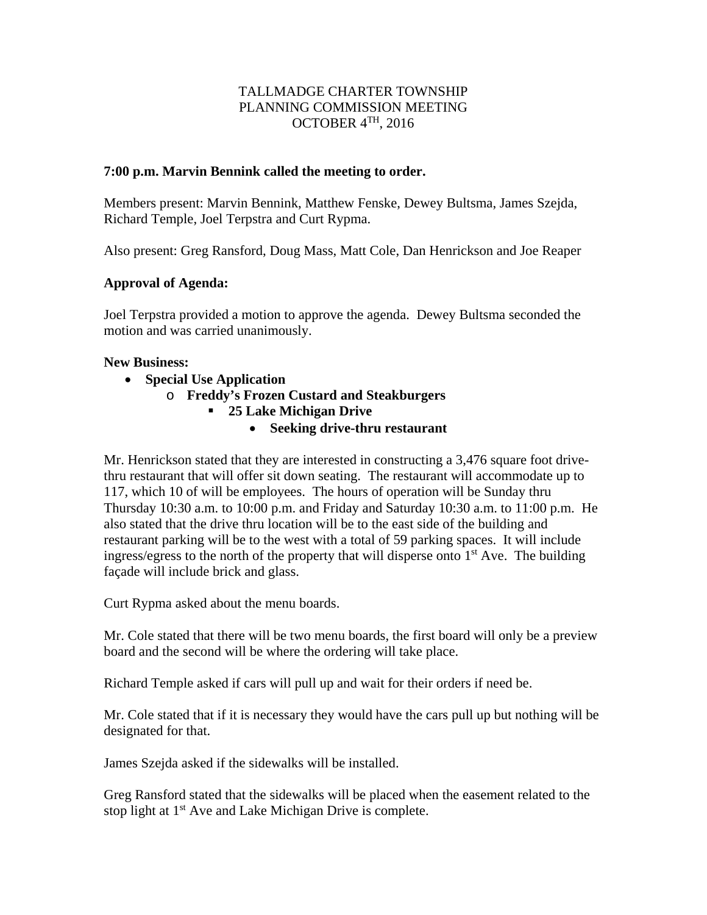# TALLMADGE CHARTER TOWNSHIP PLANNING COMMISSION MEETING OCTOBER 4TH, 2016

### **7:00 p.m. Marvin Bennink called the meeting to order.**

Members present: Marvin Bennink, Matthew Fenske, Dewey Bultsma, James Szejda, Richard Temple, Joel Terpstra and Curt Rypma.

Also present: Greg Ransford, Doug Mass, Matt Cole, Dan Henrickson and Joe Reaper

### **Approval of Agenda:**

Joel Terpstra provided a motion to approve the agenda. Dewey Bultsma seconded the motion and was carried unanimously.

#### **New Business:**

- **Special Use Application**
	- o **Freddy's Frozen Custard and Steakburgers**
		- **25 Lake Michigan Drive**
			- **Seeking drive-thru restaurant**

Mr. Henrickson stated that they are interested in constructing a 3,476 square foot drivethru restaurant that will offer sit down seating. The restaurant will accommodate up to 117, which 10 of will be employees. The hours of operation will be Sunday thru Thursday 10:30 a.m. to 10:00 p.m. and Friday and Saturday 10:30 a.m. to 11:00 p.m. He also stated that the drive thru location will be to the east side of the building and restaurant parking will be to the west with a total of 59 parking spaces. It will include ingress/egress to the north of the property that will disperse onto  $1<sup>st</sup>$  Ave. The building façade will include brick and glass.

Curt Rypma asked about the menu boards.

Mr. Cole stated that there will be two menu boards, the first board will only be a preview board and the second will be where the ordering will take place.

Richard Temple asked if cars will pull up and wait for their orders if need be.

Mr. Cole stated that if it is necessary they would have the cars pull up but nothing will be designated for that.

James Szejda asked if the sidewalks will be installed.

Greg Ransford stated that the sidewalks will be placed when the easement related to the stop light at 1<sup>st</sup> Ave and Lake Michigan Drive is complete.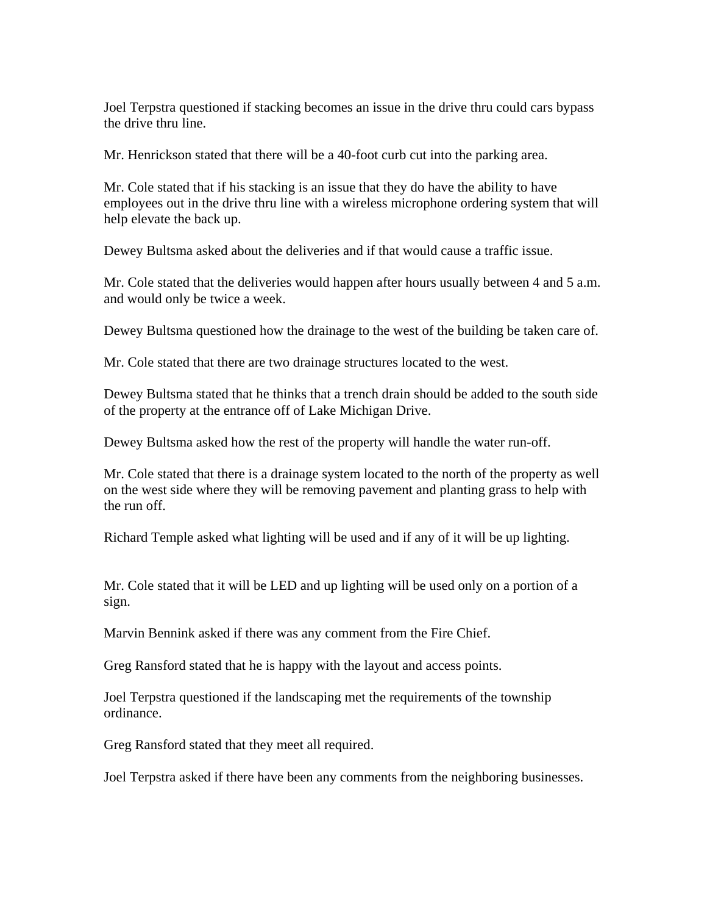Joel Terpstra questioned if stacking becomes an issue in the drive thru could cars bypass the drive thru line.

Mr. Henrickson stated that there will be a 40-foot curb cut into the parking area.

Mr. Cole stated that if his stacking is an issue that they do have the ability to have employees out in the drive thru line with a wireless microphone ordering system that will help elevate the back up.

Dewey Bultsma asked about the deliveries and if that would cause a traffic issue.

Mr. Cole stated that the deliveries would happen after hours usually between 4 and 5 a.m. and would only be twice a week.

Dewey Bultsma questioned how the drainage to the west of the building be taken care of.

Mr. Cole stated that there are two drainage structures located to the west.

Dewey Bultsma stated that he thinks that a trench drain should be added to the south side of the property at the entrance off of Lake Michigan Drive.

Dewey Bultsma asked how the rest of the property will handle the water run-off.

Mr. Cole stated that there is a drainage system located to the north of the property as well on the west side where they will be removing pavement and planting grass to help with the run off.

Richard Temple asked what lighting will be used and if any of it will be up lighting.

Mr. Cole stated that it will be LED and up lighting will be used only on a portion of a sign.

Marvin Bennink asked if there was any comment from the Fire Chief.

Greg Ransford stated that he is happy with the layout and access points.

Joel Terpstra questioned if the landscaping met the requirements of the township ordinance.

Greg Ransford stated that they meet all required.

Joel Terpstra asked if there have been any comments from the neighboring businesses.